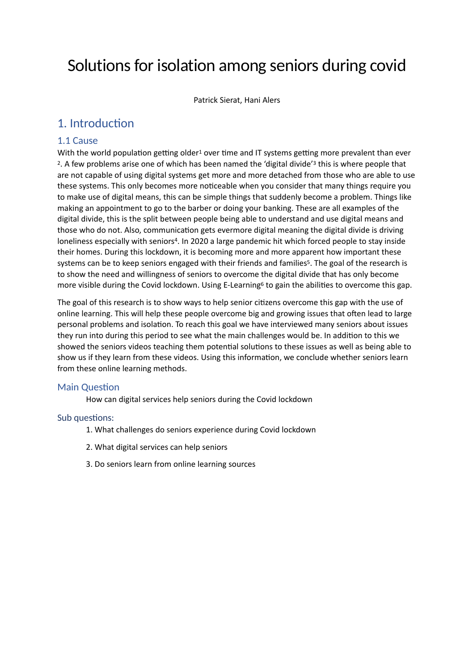## Solutions for isolation among seniors during covid

<span id="page-0-5"></span><span id="page-0-4"></span><span id="page-0-2"></span><span id="page-0-0"></span>Patrick Sierat, Hani Alers

### 1. Introduction

#### 1.1 Cause

<span id="page-0-1"></span>With the world population getting older<sup>[1](#page-7-0)</sup> over time and IT systems getting more prevalent than ever <sup>2</sup>[.](#page-7-1) A few problems arise one of which has been named the 'digital divide'<sup>3</sup> this is where people that are not capable of using digital systems get more and more detached from those who are able to use these systems. This only becomes more noticeable when you consider that many things require you to make use of digital means, this can be simple things that suddenly become a problem. Things like making an appointment to go to the barber or doing your banking. These are all examples of the digital divide, this is the split between people being able to understand and use digital means and those who do not. Also, communication gets evermore digital meaning the digital divide is driving loneliness especially with seniors<sup>4</sup>[.](#page-7-3) In 2020 a large pandemic hit which forced people to stay inside their homes. During this lockdown, it is becoming more and more apparent how important these systems can be to keep seniors engaged with their friends and families<sup>[5](#page-7-4)</sup>. The goal of the research is to show the need and willingness of seniors to overcome the digital divide that has only become more visible during the Covid lockdown. Using E-Learning<sup>6</sup> to gain the abilities to overcome this gap.

<span id="page-0-3"></span>The goal of this research is to show ways to help senior citizens overcome this gap with the use of online learning. This will help these people overcome big and growing issues that often lead to large personal problems and isolation. To reach this goal we have interviewed many seniors about issues they run into during this period to see what the main challenges would be. In addition to this we showed the seniors videos teaching them potential solutions to these issues as well as being able to show us if they learn from these videos. Using this information, we conclude whether seniors learn from these online learning methods.

#### Main Question

How can digital services help seniors during the Covid lockdown

#### Sub questions:

- 1. What challenges do seniors experience during Covid lockdown
- 2. What digital services can help seniors
- 3. Do seniors learn from online learning sources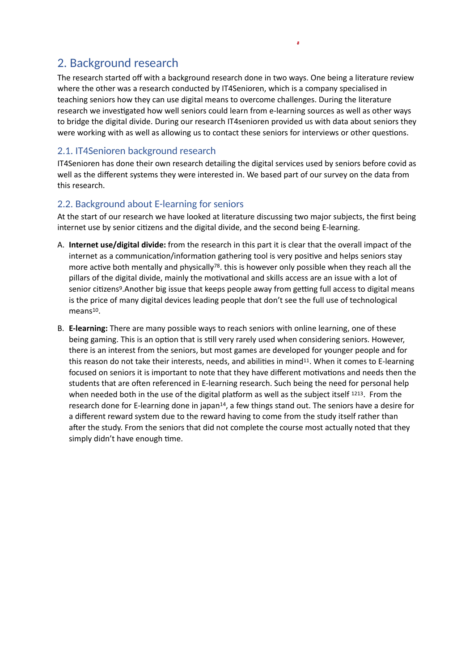## 2. Background research

The research started off with a background research done in two ways. One being a literature review where the other was a research conducted by IT4Senioren, which is a company specialised in teaching seniors how they can use digital means to overcome challenges. During the literature research we investigated how well seniors could learn from e-learning sources as well as other ways to bridge the digital divide. During our research IT4senioren provided us with data about seniors they were working with as well as allowing us to contact these seniors for interviews or other questions.

#### 2.1. IT4Senioren background research

IT4Senioren has done their own research detailing the digital services used by seniors before covid as well as the different systems they were interested in. We based part of our survey on the data from this research.

#### 2.2. Background about E-learning for seniors

At the start of our research we have looked at literature discussing two major subjects, the first being internet use by senior citizens and the digital divide, and the second being E-learning.

- <span id="page-1-1"></span><span id="page-1-0"></span>A. **Internet use/digital divide:** from the research in this part it is clear that the overall impact of the internet as a communication/information gathering tool is very positive and helps seniors stay more active both mentally and physically  $78$  $78$ . this is however only possible when they reach all the pillars of the digital divide, mainly the motivational and skills access are an issue with a lot of senior citizens<sup>[9](#page-7-8)</sup>. Another big issue that keeps people away from getting full access to digital means is the price of many digital devices leading people that don't see the full use of technological  $mean<sub>510</sub>$  $mean<sub>510</sub>$  $mean<sub>510</sub>$ .
- <span id="page-1-7"></span><span id="page-1-6"></span><span id="page-1-5"></span><span id="page-1-4"></span><span id="page-1-3"></span><span id="page-1-2"></span>B. **E-learning:** There are many possible ways to reach seniors with online learning, one of these being gaming. This is an option that is still very rarely used when considering seniors. However, there is an interest from the seniors, but most games are developed for younger people and for this reason do not take their interests, needs, and abilities in mind<sup>[11](#page-7-10)</sup>. When it comes to E-learning focused on seniors it is important to note that they have different motivations and needs then the students that are often referenced in E-learning research. Such being the need for personal help whenneeded both in the use of the digital platform as well as the subject itself  $1213$  $1213$ [.](#page-7-12) From the research done for E-learning done in japan<sup>14</sup>[,](#page-7-13) a few things stand out. The seniors have a desire for a different reward system due to the reward having to come from the study itself rather than after the study. From the seniors that did not complete the course most actually noted that they simply didn't have enough time.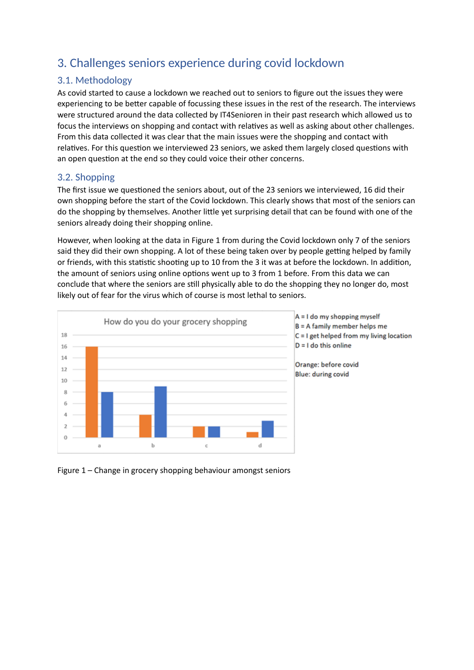## 3. Challenges seniors experience during covid lockdown

#### 3.1. Methodology

As covid started to cause a lockdown we reached out to seniors to figure out the issues they were experiencing to be better capable of focussing these issues in the rest of the research. The interviews were structured around the data collected by IT4Senioren in their past research which allowed us to focus the interviews on shopping and contact with relatives as well as asking about other challenges. From this data collected it was clear that the main issues were the shopping and contact with relatives. For this question we interviewed 23 seniors, we asked them largely closed questions with an open question at the end so they could voice their other concerns.

#### 3.2. Shopping

The first issue we questioned the seniors about, out of the 23 seniors we interviewed, 16 did their own shopping before the start of the Covid lockdown. This clearly shows that most of the seniors can do the shopping by themselves. Another little yet surprising detail that can be found with one of the seniors already doing their shopping online.

However, when looking at the data in Figure 1 from during the Covid lockdown only 7 of the seniors said they did their own shopping. A lot of these being taken over by people getting helped by family or friends, with this statistic shooting up to 10 from the 3 it was at before the lockdown. In addition, the amount of seniors using online options went up to 3 from 1 before. From this data we can conclude that where the seniors are still physically able to do the shopping they no longer do, most likely out of fear for the virus which of course is most lethal to seniors.



Figure 1 – Change in grocery shopping behaviour amongst seniors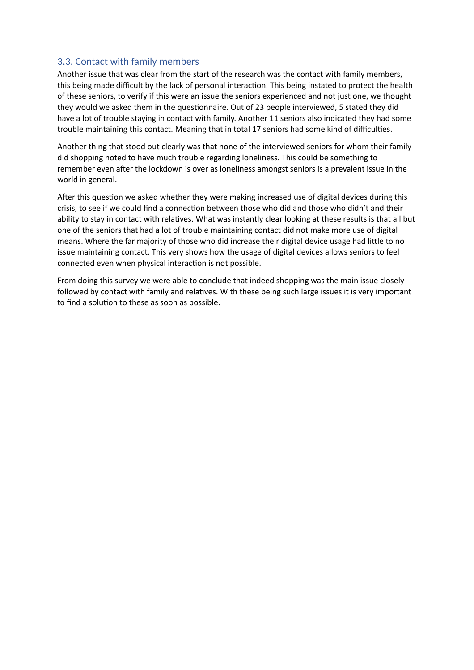#### 3.3. Contact with family members

Another issue that was clear from the start of the research was the contact with family members, this being made difficult by the lack of personal interaction. This being instated to protect the health of these seniors, to verify if this were an issue the seniors experienced and not just one, we thought they would we asked them in the questionnaire. Out of 23 people interviewed, 5 stated they did have a lot of trouble staying in contact with family. Another 11 seniors also indicated they had some trouble maintaining this contact. Meaning that in total 17 seniors had some kind of difficulties.

Another thing that stood out clearly was that none of the interviewed seniors for whom their family did shopping noted to have much trouble regarding loneliness. This could be something to remember even after the lockdown is over as loneliness amongst seniors is a prevalent issue in the world in general.

After this question we asked whether they were making increased use of digital devices during this crisis, to see if we could find a connection between those who did and those who didn't and their ability to stay in contact with relatives. What was instantly clear looking at these results is that all but one of the seniors that had a lot of trouble maintaining contact did not make more use of digital means. Where the far majority of those who did increase their digital device usage had little to no issue maintaining contact. This very shows how the usage of digital devices allows seniors to feel connected even when physical interaction is not possible.

From doing this survey we were able to conclude that indeed shopping was the main issue closely followed by contact with family and relatives. With these being such large issues it is very important to find a solution to these as soon as possible.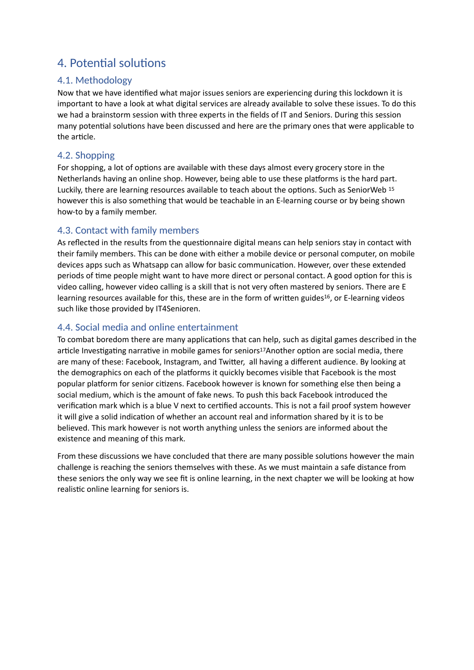## 4. Potential solutions

#### 4.1. Methodology

Now that we have identified what major issues seniors are experiencing during this lockdown it is important to have a look at what digital services are already available to solve these issues. To do this we had a brainstorm session with three experts in the fields of IT and Seniors. During this session many potential solutions have been discussed and here are the primary ones that were applicable to the article.

#### 4.2. Shopping

<span id="page-4-0"></span>For shopping, a lot of options are available with these days almost every grocery store in the Netherlands having an online shop. However, being able to use these platforms is the hard part. Luckily, there are learning resources available to teach about the options. Such as SeniorWeb [15](#page-7-14) however this is also something that would be teachable in an E-learning course or by being shown how-to by a family member.

#### 4.3. Contact with family members

As reflected in the results from the questionnaire digital means can help seniors stay in contact with their family members. This can be done with either a mobile device or personal computer, on mobile devices apps such as Whatsapp can allow for basic communication. However, over these extended periods of time people might want to have more direct or personal contact. A good option for this is video calling, however video calling is a skill that is not very often mastered by seniors. There are E learning resources available for this, these are in the form of written guides<sup>[16](#page-7-15)</sup>, or E-learning videos such like those provided by IT4Senioren.

#### <span id="page-4-1"></span>4.4. Social media and online entertainment

<span id="page-4-2"></span>To combat boredom there are many applications that can help, such as digital games described in the article Investigating narrative in mobile games for seniors<sup>17</sup>[A](#page-8-0)nother option are social media, there are many of these: Facebook, Instagram, and Twitter, all having a different audience. By looking at the demographics on each of the platforms it quickly becomes visible that Facebook is the most popular platform for senior citizens. Facebook however is known for something else then being a social medium, which is the amount of fake news. To push this back Facebook introduced the verification mark which is a blue V next to certified accounts. This is not a fail proof system however it will give a solid indication of whether an account real and information shared by it is to be believed. This mark however is not worth anything unless the seniors are informed about the existence and meaning of this mark.

From these discussions we have concluded that there are many possible solutions however the main challenge is reaching the seniors themselves with these. As we must maintain a safe distance from these seniors the only way we see fit is online learning, in the next chapter we will be looking at how realistic online learning for seniors is.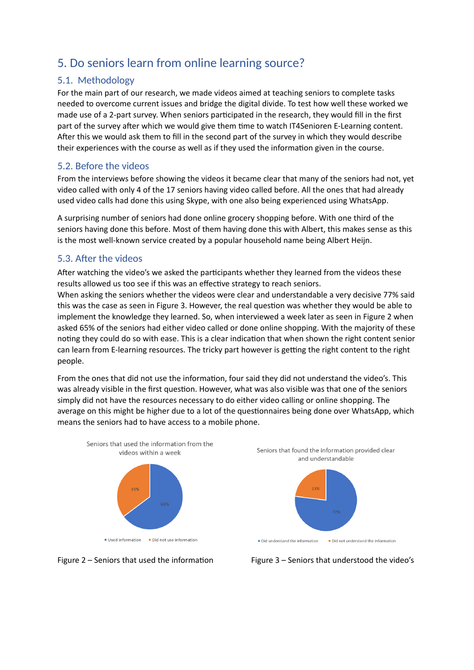## 5. Do seniors learn from online learning source?

#### 5.1. Methodology

For the main part of our research, we made videos aimed at teaching seniors to complete tasks needed to overcome current issues and bridge the digital divide. To test how well these worked we made use of a 2-part survey. When seniors participated in the research, they would fill in the first part of the survey after which we would give them time to watch IT4Senioren E-Learning content. After this we would ask them to fill in the second part of the survey in which they would describe their experiences with the course as well as if they used the information given in the course.

#### 5.2. Before the videos

From the interviews before showing the videos it became clear that many of the seniors had not, yet video called with only 4 of the 17 seniors having video called before. All the ones that had already used video calls had done this using Skype, with one also being experienced using WhatsApp.

A surprising number of seniors had done online grocery shopping before. With one third of the seniors having done this before. Most of them having done this with Albert, this makes sense as this is the most well-known service created by a popular household name being Albert Heijn.

#### 5.3. After the videos

After watching the video's we asked the participants whether they learned from the videos these results allowed us too see if this was an effective strategy to reach seniors.

When asking the seniors whether the videos were clear and understandable a very decisive 77% said this was the case as seen in Figure 3. However, the real question was whether they would be able to implement the knowledge they learned. So, when interviewed a week later as seen in Figure 2 when asked 65% of the seniors had either video called or done online shopping. With the majority of these noting they could do so with ease. This is a clear indication that when shown the right content senior can learn from E-learning resources. The tricky part however is getting the right content to the right people.

From the ones that did not use the information, four said they did not understand the video's. This was already visible in the first question. However, what was also visible was that one of the seniors simply did not have the resources necessary to do either video calling or online shopping. The average on this might be higher due to a lot of the questionnaires being done over WhatsApp, which means the seniors had to have access to a mobile phone.





Figure 2 – Seniors that used the information Figure 3 – Seniors that understood the video's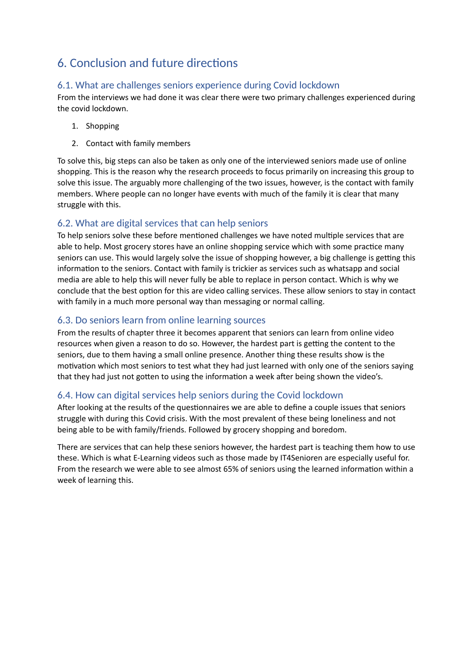## 6. Conclusion and future directions

#### 6.1. What are challenges seniors experience during Covid lockdown

From the interviews we had done it was clear there were two primary challenges experienced during the covid lockdown.

- 1. Shopping
- 2. Contact with family members

To solve this, big steps can also be taken as only one of the interviewed seniors made use of online shopping. This is the reason why the research proceeds to focus primarily on increasing this group to solve this issue. The arguably more challenging of the two issues, however, is the contact with family members. Where people can no longer have events with much of the family it is clear that many struggle with this.

#### 6.2. What are digital services that can help seniors

To help seniors solve these before mentioned challenges we have noted multiple services that are able to help. Most grocery stores have an online shopping service which with some practice many seniors can use. This would largely solve the issue of shopping however, a big challenge is getting this information to the seniors. Contact with family is trickier as services such as whatsapp and social media are able to help this will never fully be able to replace in person contact. Which is why we conclude that the best option for this are video calling services. These allow seniors to stay in contact with family in a much more personal way than messaging or normal calling.

#### 6.3. Do seniors learn from online learning sources

From the results of chapter three it becomes apparent that seniors can learn from online video resources when given a reason to do so. However, the hardest part is getting the content to the seniors, due to them having a small online presence. Another thing these results show is the motivation which most seniors to test what they had just learned with only one of the seniors saying that they had just not gotten to using the information a week after being shown the video's.

#### 6.4. How can digital services help seniors during the Covid lockdown

After looking at the results of the questionnaires we are able to define a couple issues that seniors struggle with during this Covid crisis. With the most prevalent of these being loneliness and not being able to be with family/friends. Followed by grocery shopping and boredom.

There are services that can help these seniors however, the hardest part is teaching them how to use these. Which is what E-Learning videos such as those made by IT4Senioren are especially useful for. From the research we were able to see almost 65% of seniors using the learned information within a week of learning this.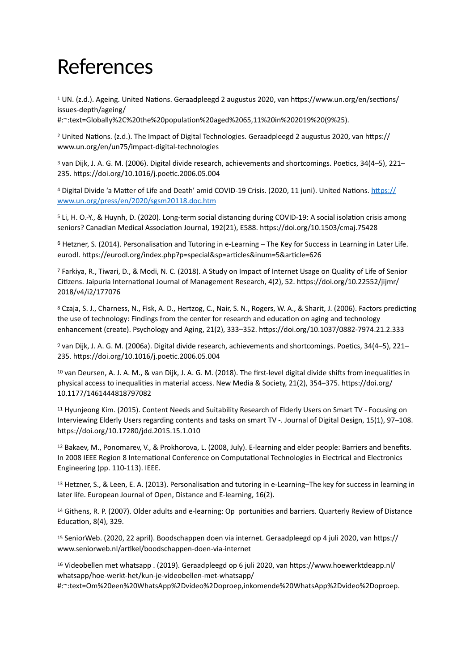# References

<span id="page-7-0"></span> UN. (z.d.). Ageing. United Nations. Geraadpleegd 2 augustus 2020, van https://www.un.org/en/sections/ [1](#page-0-0) issues-depth/ageing/

#:~:text=Globally%2C%20the%20population%20aged%2065,11%20in%202019%20(9%25).

<span id="page-7-1"></span> United Nations. (z.d.). The Impact of Digital Technologies. Geraadpleegd 2 augustus 2020, van https:// [2](#page-0-1) www.un.org/en/un75/impact-digital-technologies

<span id="page-7-2"></span>[3](#page-0-2) van Dijk, J. A. G. M. (2006). Digital divide research, achievements and shortcomings. Poetics, 34(4–5), 221– 235. https://doi.org/10.1016/j.poetic.2006.05.004

<span id="page-7-3"></span> Digital Divide 'a Matter of Life and Death' amid COVID-19 Crisis. (2020, 11 juni). United Nations. [https://](https://www.un.org/press/en/2020/sgsm20118.doc.htm) [4](#page-0-3) [www.un.org/press/en/2020/sgsm20118.doc.htm](https://www.un.org/press/en/2020/sgsm20118.doc.htm)

<span id="page-7-4"></span><sup>[5](#page-0-4)</sup> Li, H. O.-Y., & Huynh, D. (2020). Long-term social distancing during COVID-19: A social isolation crisis among seniors? Canadian Medical Association Journal, 192(21), E588. https://doi.org/10.1503/cmaj.75428

<span id="page-7-5"></span>Hetzner, S. (2014). Personalisation and Tutoring in e-Learning – The Key for Success in Learning in Later Life. [6](#page-0-5) eurodl. https://eurodl.org/index.php?p=special&sp=articles&inum=5&article=626

<span id="page-7-6"></span> Farkiya, R., Tiwari, D., & Modi, N. C. (2018). A Study on Impact of Internet Usage on Quality of Life of Senior [7](#page-1-0) Citizens. Jaipuria International Journal of Management Research, 4(2), 52. https://doi.org/10.22552/jijmr/ 2018/v4/i2/177076

<span id="page-7-7"></span> Czaja, S. J., Charness, N., Fisk, A. D., Hertzog, C., Nair, S. N., Rogers, W. A., & Sharit, J. (2006). Factors predicting [8](#page-1-1) the use of technology: Findings from the center for research and education on aging and technology enhancement (create). Psychology and Aging, 21(2), 333–352. https://doi.org/10.1037/0882-7974.21.2.333

<span id="page-7-8"></span>[9](#page-1-2) van Dijk, J. A. G. M. (2006a). Digital divide research, achievements and shortcomings. Poetics, 34(4–5), 221– 235. https://doi.org/10.1016/j.poetic.2006.05.004

<span id="page-7-9"></span>10van Deursen, A. J. A. M., & van Dijk, J. A. G. M. (2018). The first-level digital divide shifts from inequalities in physical access to inequalities in material access. New Media & Society, 21(2), 354–375. https://doi.org/ 10.1177/1461444818797082

<span id="page-7-10"></span>11Hyunjeong Kim. (2015). Content Needs and Suitability Research of Elderly Users on Smart TV - Focusing on Interviewing Elderly Users regarding contents and tasks on smart TV -. Journal of Digital Design, 15(1), 97–108. https://doi.org/10.17280/jdd.2015.15.1.010

<span id="page-7-11"></span>12Bakaev, M., Ponomarev, V., & Prokhorova, L. (2008, July). E-learning and elder people: Barriers and benefits. In 2008 IEEE Region 8 International Conference on Computational Technologies in Electrical and Electronics Engineering (pp. 110-113). IEEE.

<span id="page-7-12"></span><sup>13</sup>Hetzner, S., & Leen, E. A. (20[13](#page-1-6)). Personalisation and tutoring in e-Learning–The key for success in learning in later life. European Journal of Open, Distance and E-learning, 16(2).

<span id="page-7-13"></span><sup>14</sup>Githens, R. P. (2007). Older adults and e-learning: Op portunities and barriers. Quarterly Review of Distance Education, 8(4), 329.

<span id="page-7-14"></span> SeniorWeb. (2020, 22 april). Boodschappen doen via internet. Geraadpleegd op 4 juli 2020, van https:// [15](#page-4-0) www.seniorweb.nl/artikel/boodschappen-doen-via-internet

<span id="page-7-15"></span> Videobellen met whatsapp . (2019). Geraadpleegd op 6 juli 2020, van https://www.hoewerktdeapp.nl/ [16](#page-4-1) whatsapp/hoe-werkt-het/kun-je-videobellen-met-whatsapp/

#:~:text=Om%20een%20WhatsApp%2Dvideo%2Doproep,inkomende%20WhatsApp%2Dvideo%2Doproep.